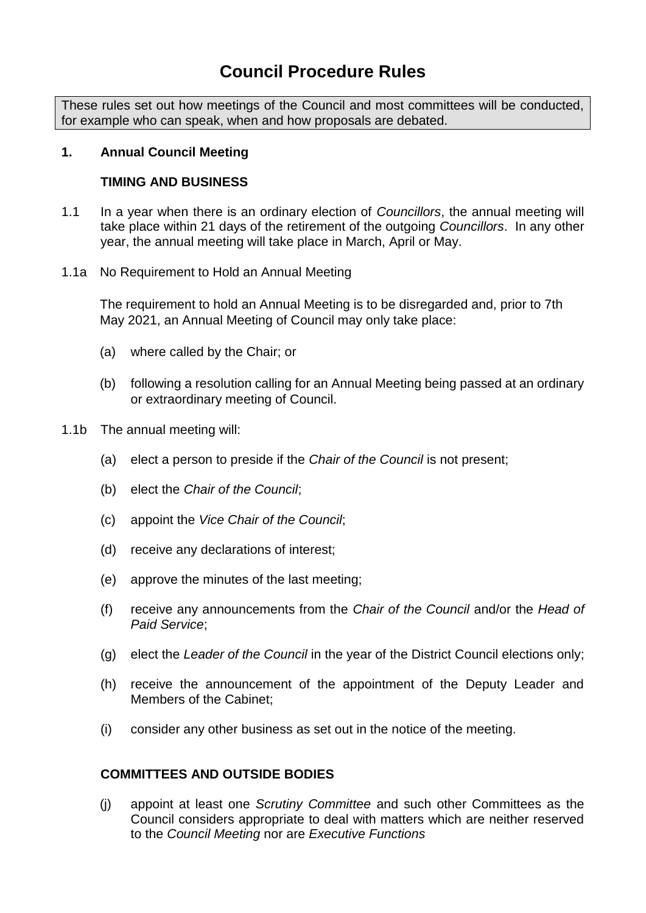# **Council Procedure Rules**

These rules set out how meetings of the Council and most committees will be conducted, for example who can speak, when and how proposals are debated.

# **1. Annual Council Meeting**

# **TIMING AND BUSINESS**

- 1.1 In a year when there is an ordinary election of *Councillors*, the annual meeting will take place within 21 days of the retirement of the outgoing *Councillors*. In any other year, the annual meeting will take place in March, April or May.
- 1.1a No Requirement to Hold an Annual Meeting

The requirement to hold an Annual Meeting is to be disregarded and, prior to 7th May 2021, an Annual Meeting of Council may only take place:

- (a) where called by the Chair; or
- (b) following a resolution calling for an Annual Meeting being passed at an ordinary or extraordinary meeting of Council.
- 1.1b The annual meeting will:
	- (a) elect a person to preside if the *Chair of the Council* is not present;
	- (b) elect the *Chair of the Council*;
	- (c) appoint the *Vice Chair of the Council*;
	- (d) receive any declarations of interest;
	- (e) approve the minutes of the last meeting;
	- (f) receive any announcements from the *Chair of the Council* and/or the *Head of Paid Service*;
	- (g) elect the *Leader of the Council* in the year of the District Council elections only;
	- (h) receive the announcement of the appointment of the Deputy Leader and Members of the Cabinet;
	- (i) consider any other business as set out in the notice of the meeting.

# **COMMITTEES AND OUTSIDE BODIES**

(j) appoint at least one *Scrutiny Committee* and such other Committees as the Council considers appropriate to deal with matters which are neither reserved to the *Council Meeting* nor are *Executive Functions*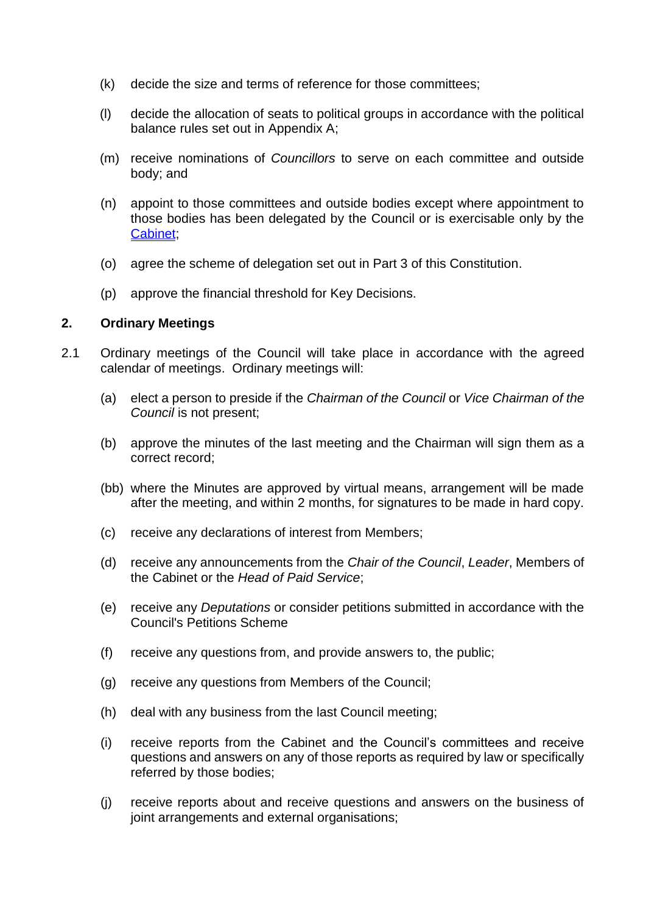- (k) decide the size and terms of reference for those committees;
- (l) decide the allocation of seats to political groups in accordance with the political balance rules set out in Appendix A;
- (m) receive nominations of *Councillors* to serve on each committee and outside body; and
- (n) appoint to those committees and outside bodies except where appointment to those bodies has been delegated by the Council or is exercisable only by the Cabinet;
- (o) agree the scheme of delegation set out in Part 3 of this Constitution.
- (p) approve the financial threshold for Key Decisions.

# **2. Ordinary Meetings**

- 2.1 Ordinary meetings of the Council will take place in accordance with the agreed calendar of meetings. Ordinary meetings will:
	- (a) elect a person to preside if the *Chairman of the Council* or *Vice Chairman of the Council* is not present;
	- (b) approve the minutes of the last meeting and the Chairman will sign them as a correct record;
	- (bb) where the Minutes are approved by virtual means, arrangement will be made after the meeting, and within 2 months, for signatures to be made in hard copy.
	- (c) receive any declarations of interest from Members;
	- (d) receive any announcements from the *Chair of the Council*, *Leader*, Members of the Cabinet or the *Head of Paid Service*;
	- (e) receive any *Deputations* or consider petitions submitted in accordance with the Council's Petitions Scheme
	- (f) receive any questions from, and provide answers to, the public;
	- (g) receive any questions from Members of the Council;
	- (h) deal with any business from the last Council meeting;
	- (i) receive reports from the Cabinet and the Council's committees and receive questions and answers on any of those reports as required by law or specifically referred by those bodies;
	- (j) receive reports about and receive questions and answers on the business of joint arrangements and external organisations;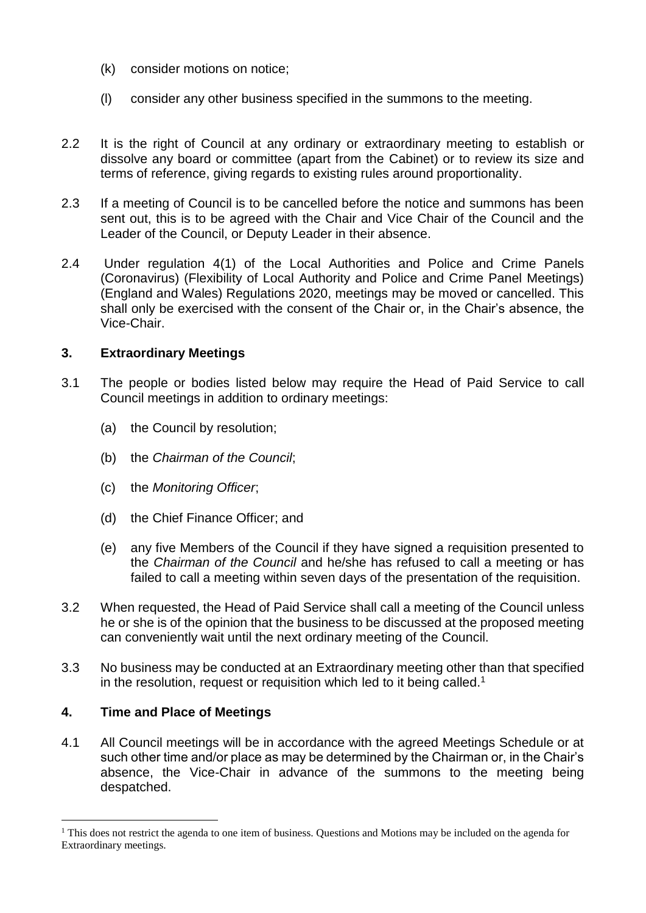- (k) consider motions on notice;
- (l) consider any other business specified in the summons to the meeting.
- 2.2 It is the right of Council at any ordinary or extraordinary meeting to establish or dissolve any board or committee (apart from the Cabinet) or to review its size and terms of reference, giving regards to existing rules around proportionality.
- 2.3 If a meeting of Council is to be cancelled before the notice and summons has been sent out, this is to be agreed with the Chair and Vice Chair of the Council and the Leader of the Council, or Deputy Leader in their absence.
- 2.4 Under regulation 4(1) of the Local Authorities and Police and Crime Panels (Coronavirus) (Flexibility of Local Authority and Police and Crime Panel Meetings) (England and Wales) Regulations 2020, meetings may be moved or cancelled. This shall only be exercised with the consent of the Chair or, in the Chair's absence, the Vice-Chair.

# **3. Extraordinary Meetings**

- 3.1 The people or bodies listed below may require the Head of Paid Service to call Council meetings in addition to ordinary meetings:
	- (a) the Council by resolution;
	- (b) the *Chairman of the Council*;
	- (c) the *Monitoring Officer*;
	- (d) the Chief Finance Officer; and
	- (e) any five Members of the Council if they have signed a requisition presented to the *Chairman of the Council* and he/she has refused to call a meeting or has failed to call a meeting within seven days of the presentation of the requisition.
- 3.2 When requested, the Head of Paid Service shall call a meeting of the Council unless he or she is of the opinion that the business to be discussed at the proposed meeting can conveniently wait until the next ordinary meeting of the Council.
- 3.3 No business may be conducted at an Extraordinary meeting other than that specified in the resolution, request or requisition which led to it being called.<sup>1</sup>

# **4. Time and Place of Meetings**

1

4.1 All Council meetings will be in accordance with the agreed Meetings Schedule or at such other time and/or place as may be determined by the Chairman or, in the Chair's absence, the Vice-Chair in advance of the summons to the meeting being despatched.

<sup>&</sup>lt;sup>1</sup> This does not restrict the agenda to one item of business. Questions and Motions may be included on the agenda for Extraordinary meetings.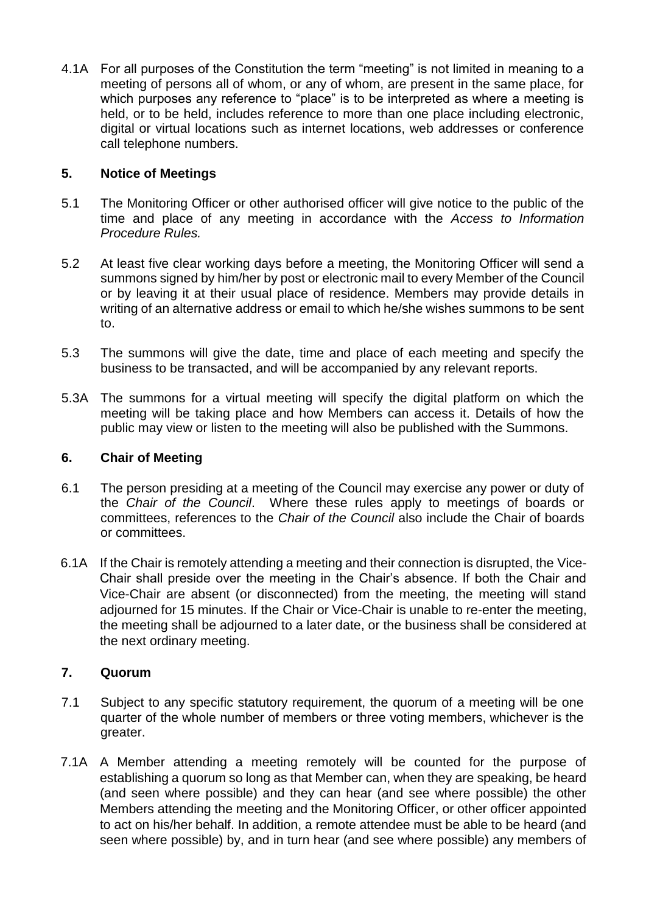4.1A For all purposes of the Constitution the term "meeting" is not limited in meaning to a meeting of persons all of whom, or any of whom, are present in the same place, for which purposes any reference to "place" is to be interpreted as where a meeting is held, or to be held, includes reference to more than one place including electronic, digital or virtual locations such as internet locations, web addresses or conference call telephone numbers.

# **5. Notice of Meetings**

- 5.1 The Monitoring Officer or other authorised officer will give notice to the public of the time and place of any meeting in accordance with the *Access to Information Procedure Rules.*
- 5.2 At least five clear working days before a meeting, the Monitoring Officer will send a summons signed by him/her by post or electronic mail to every Member of the Council or by leaving it at their usual place of residence. Members may provide details in writing of an alternative address or email to which he/she wishes summons to be sent to.
- 5.3 The summons will give the date, time and place of each meeting and specify the business to be transacted, and will be accompanied by any relevant reports.
- 5.3A The summons for a virtual meeting will specify the digital platform on which the meeting will be taking place and how Members can access it. Details of how the public may view or listen to the meeting will also be published with the Summons.

# **6. Chair of Meeting**

- 6.1 The person presiding at a meeting of the Council may exercise any power or duty of the *Chair of the Council*. Where these rules apply to meetings of boards or committees, references to the *Chair of the Council* also include the Chair of boards or committees.
- 6.1A If the Chair is remotely attending a meeting and their connection is disrupted, the Vice-Chair shall preside over the meeting in the Chair's absence. If both the Chair and Vice-Chair are absent (or disconnected) from the meeting, the meeting will stand adjourned for 15 minutes. If the Chair or Vice-Chair is unable to re-enter the meeting, the meeting shall be adjourned to a later date, or the business shall be considered at the next ordinary meeting.

# **7. Quorum**

- 7.1 Subject to any specific statutory requirement, the quorum of a meeting will be one quarter of the whole number of members or three voting members, whichever is the greater.
- 7.1A A Member attending a meeting remotely will be counted for the purpose of establishing a quorum so long as that Member can, when they are speaking, be heard (and seen where possible) and they can hear (and see where possible) the other Members attending the meeting and the Monitoring Officer, or other officer appointed to act on his/her behalf. In addition, a remote attendee must be able to be heard (and seen where possible) by, and in turn hear (and see where possible) any members of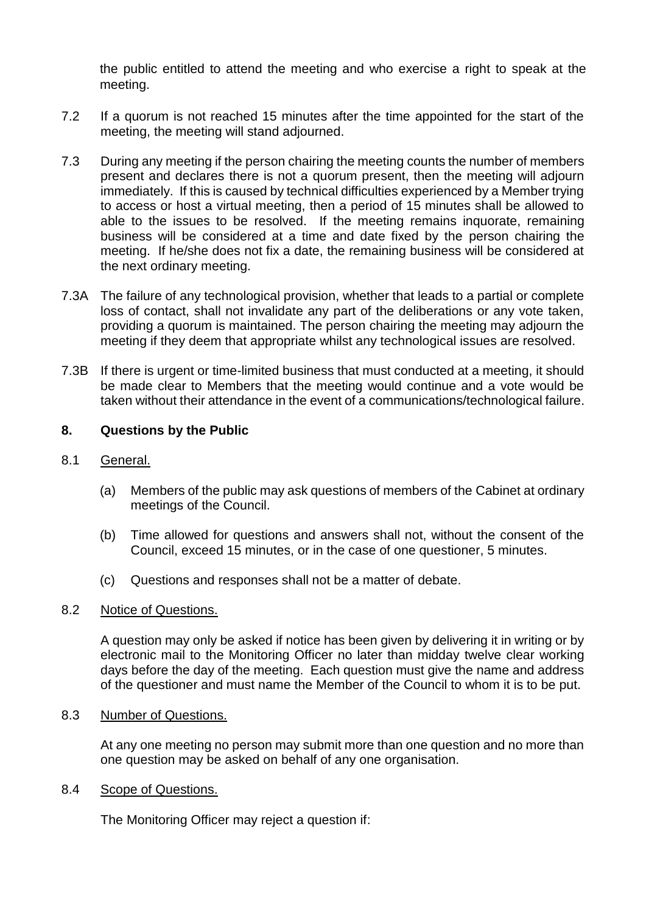the public entitled to attend the meeting and who exercise a right to speak at the meeting.

- 7.2 If a quorum is not reached 15 minutes after the time appointed for the start of the meeting, the meeting will stand adjourned.
- 7.3 During any meeting if the person chairing the meeting counts the number of members present and declares there is not a quorum present, then the meeting will adjourn immediately. If this is caused by technical difficulties experienced by a Member trying to access or host a virtual meeting, then a period of 15 minutes shall be allowed to able to the issues to be resolved. If the meeting remains inquorate, remaining business will be considered at a time and date fixed by the person chairing the meeting. If he/she does not fix a date, the remaining business will be considered at the next ordinary meeting.
- 7.3A The failure of any technological provision, whether that leads to a partial or complete loss of contact, shall not invalidate any part of the deliberations or any vote taken, providing a quorum is maintained. The person chairing the meeting may adjourn the meeting if they deem that appropriate whilst any technological issues are resolved.
- 7.3B If there is urgent or time-limited business that must conducted at a meeting, it should be made clear to Members that the meeting would continue and a vote would be taken without their attendance in the event of a communications/technological failure.

# **8. Questions by the Public**

- 8.1 General.
	- (a) Members of the public may ask questions of members of the Cabinet at ordinary meetings of the Council.
	- (b) Time allowed for questions and answers shall not, without the consent of the Council, exceed 15 minutes, or in the case of one questioner, 5 minutes.
	- (c) Questions and responses shall not be a matter of debate.

#### 8.2 Notice of Questions.

A question may only be asked if notice has been given by delivering it in writing or by electronic mail to the Monitoring Officer no later than midday twelve clear working days before the day of the meeting. Each question must give the name and address of the questioner and must name the Member of the Council to whom it is to be put.

8.3 Number of Questions.

At any one meeting no person may submit more than one question and no more than one question may be asked on behalf of any one organisation.

8.4 Scope of Questions.

The Monitoring Officer may reject a question if: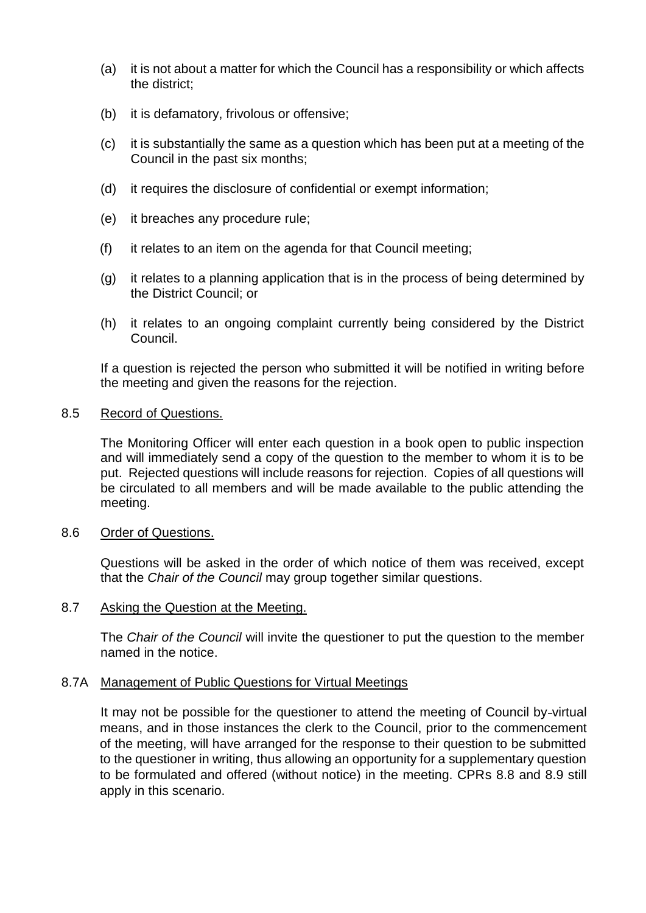- (a) it is not about a matter for which the Council has a responsibility or which affects the district;
- (b) it is defamatory, frivolous or offensive;
- (c) it is substantially the same as a question which has been put at a meeting of the Council in the past six months;
- (d) it requires the disclosure of confidential or exempt information;
- (e) it breaches any procedure rule;
- (f) it relates to an item on the agenda for that Council meeting;
- (g) it relates to a planning application that is in the process of being determined by the District Council; or
- (h) it relates to an ongoing complaint currently being considered by the District Council.

If a question is rejected the person who submitted it will be notified in writing before the meeting and given the reasons for the rejection.

#### 8.5 Record of Questions.

The Monitoring Officer will enter each question in a book open to public inspection and will immediately send a copy of the question to the member to whom it is to be put. Rejected questions will include reasons for rejection. Copies of all questions will be circulated to all members and will be made available to the public attending the meeting.

# 8.6 Order of Questions.

Questions will be asked in the order of which notice of them was received, except that the *Chair of the Council* may group together similar questions.

#### 8.7 Asking the Question at the Meeting.

The *Chair of the Council* will invite the questioner to put the question to the member named in the notice.

#### 8.7A Management of Public Questions for Virtual Meetings

It may not be possible for the questioner to attend the meeting of Council by-virtual means, and in those instances the clerk to the Council, prior to the commencement of the meeting, will have arranged for the response to their question to be submitted to the questioner in writing, thus allowing an opportunity for a supplementary question to be formulated and offered (without notice) in the meeting. CPRs 8.8 and 8.9 still apply in this scenario.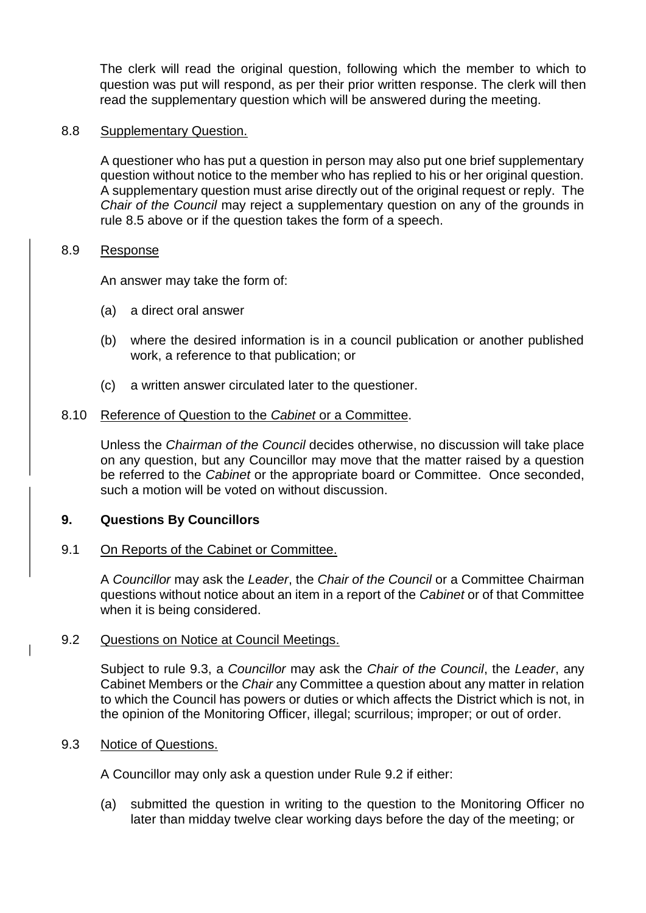The clerk will read the original question, following which the member to which to question was put will respond, as per their prior written response. The clerk will then read the supplementary question which will be answered during the meeting.

# 8.8 Supplementary Question.

A questioner who has put a question in person may also put one brief supplementary question without notice to the member who has replied to his or her original question. A supplementary question must arise directly out of the original request or reply. The *Chair of the Council* may reject a supplementary question on any of the grounds in rule 8.5 above or if the question takes the form of a speech.

# 8.9 Response

An answer may take the form of:

- (a) a direct oral answer
- (b) where the desired information is in a council publication or another published work, a reference to that publication; or
- (c) a written answer circulated later to the questioner.

# 8.10 Reference of Question to the *Cabinet* or a Committee.

Unless the *Chairman of the Council* decides otherwise, no discussion will take place on any question, but any Councillor may move that the matter raised by a question be referred to the *Cabinet* or the appropriate board or Committee. Once seconded, such a motion will be voted on without discussion.

# **9. Questions By Councillors**

#### 9.1 On Reports of the Cabinet or Committee.

A *Councillor* may ask the *Leader*, the *Chair of the Council* or a Committee Chairman questions without notice about an item in a report of the *Cabinet* or of that Committee when it is being considered.

#### 9.2 Questions on Notice at Council Meetings.

Subject to rule 9.3, a *Councillor* may ask the *Chair of the Council*, the *Leader*, any Cabinet Members or the *Chair* any Committee a question about any matter in relation to which the Council has powers or duties or which affects the District which is not, in the opinion of the Monitoring Officer, illegal; scurrilous; improper; or out of order.

# 9.3 Notice of Questions.

A Councillor may only ask a question under Rule 9.2 if either:

(a) submitted the question in writing to the question to the Monitoring Officer no later than midday twelve clear working days before the day of the meeting; or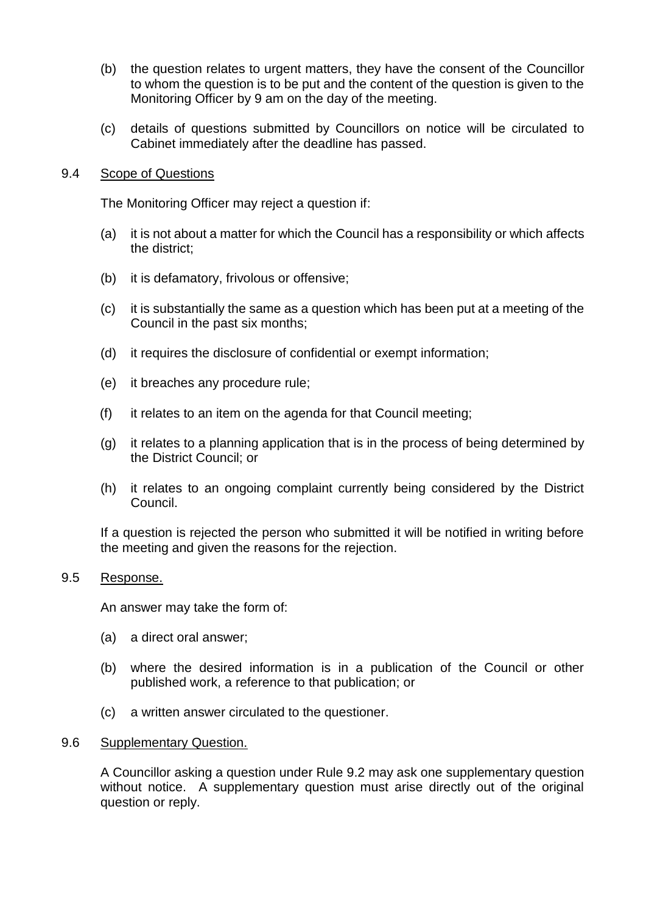- (b) the question relates to urgent matters, they have the consent of the Councillor to whom the question is to be put and the content of the question is given to the Monitoring Officer by 9 am on the day of the meeting.
- (c) details of questions submitted by Councillors on notice will be circulated to Cabinet immediately after the deadline has passed.

# 9.4 Scope of Questions

The Monitoring Officer may reject a question if:

- (a) it is not about a matter for which the Council has a responsibility or which affects the district;
- (b) it is defamatory, frivolous or offensive;
- (c) it is substantially the same as a question which has been put at a meeting of the Council in the past six months;
- (d) it requires the disclosure of confidential or exempt information;
- (e) it breaches any procedure rule;
- (f) it relates to an item on the agenda for that Council meeting;
- (g) it relates to a planning application that is in the process of being determined by the District Council; or
- (h) it relates to an ongoing complaint currently being considered by the District Council.

If a question is rejected the person who submitted it will be notified in writing before the meeting and given the reasons for the rejection.

# 9.5 Response.

An answer may take the form of:

- (a) a direct oral answer;
- (b) where the desired information is in a publication of the Council or other published work, a reference to that publication; or
- (c) a written answer circulated to the questioner.

#### 9.6 Supplementary Question.

A Councillor asking a question under Rule 9.2 may ask one supplementary question without notice. A supplementary question must arise directly out of the original question or reply.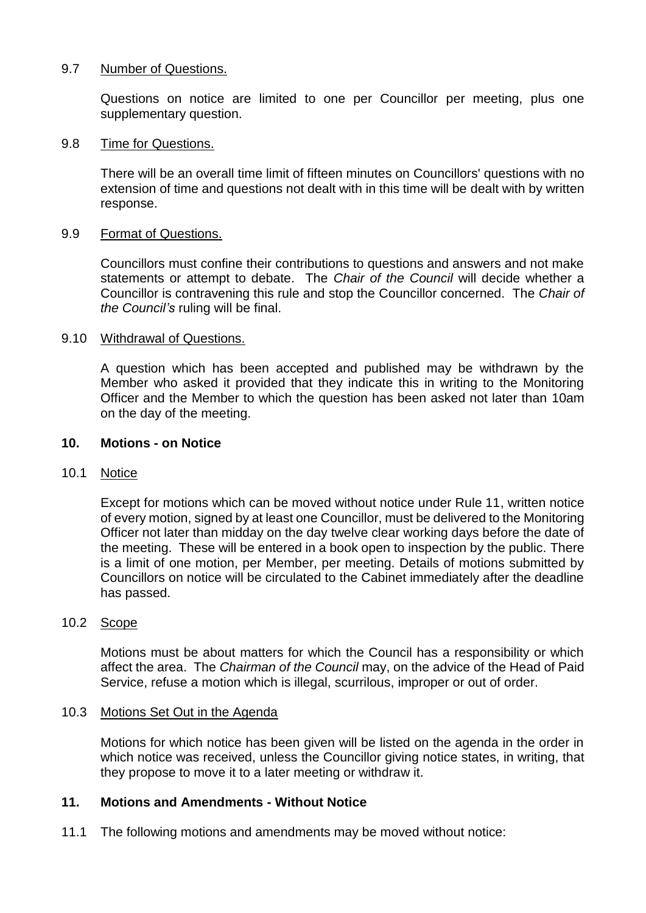# 9.7 Number of Questions.

Questions on notice are limited to one per Councillor per meeting, plus one supplementary question.

# 9.8 Time for Questions.

There will be an overall time limit of fifteen minutes on Councillors' questions with no extension of time and questions not dealt with in this time will be dealt with by written response.

# 9.9 Format of Questions.

Councillors must confine their contributions to questions and answers and not make statements or attempt to debate. The *Chair of the Council* will decide whether a Councillor is contravening this rule and stop the Councillor concerned. The *Chair of the Council's* ruling will be final.

# 9.10 Withdrawal of Questions.

A question which has been accepted and published may be withdrawn by the Member who asked it provided that they indicate this in writing to the Monitoring Officer and the Member to which the question has been asked not later than 10am on the day of the meeting.

# **10. Motions - on Notice**

# 10.1 Notice

Except for motions which can be moved without notice under Rule 11, written notice of every motion, signed by at least one Councillor, must be delivered to the Monitoring Officer not later than midday on the day twelve clear working days before the date of the meeting. These will be entered in a book open to inspection by the public. There is a limit of one motion, per Member, per meeting. Details of motions submitted by Councillors on notice will be circulated to the Cabinet immediately after the deadline has passed.

# 10.2 Scope

Motions must be about matters for which the Council has a responsibility or which affect the area. The *Chairman of the Council* may, on the advice of the Head of Paid Service, refuse a motion which is illegal, scurrilous, improper or out of order.

# 10.3 Motions Set Out in the Agenda

Motions for which notice has been given will be listed on the agenda in the order in which notice was received, unless the Councillor giving notice states, in writing, that they propose to move it to a later meeting or withdraw it.

# **11. Motions and Amendments - Without Notice**

11.1 The following motions and amendments may be moved without notice: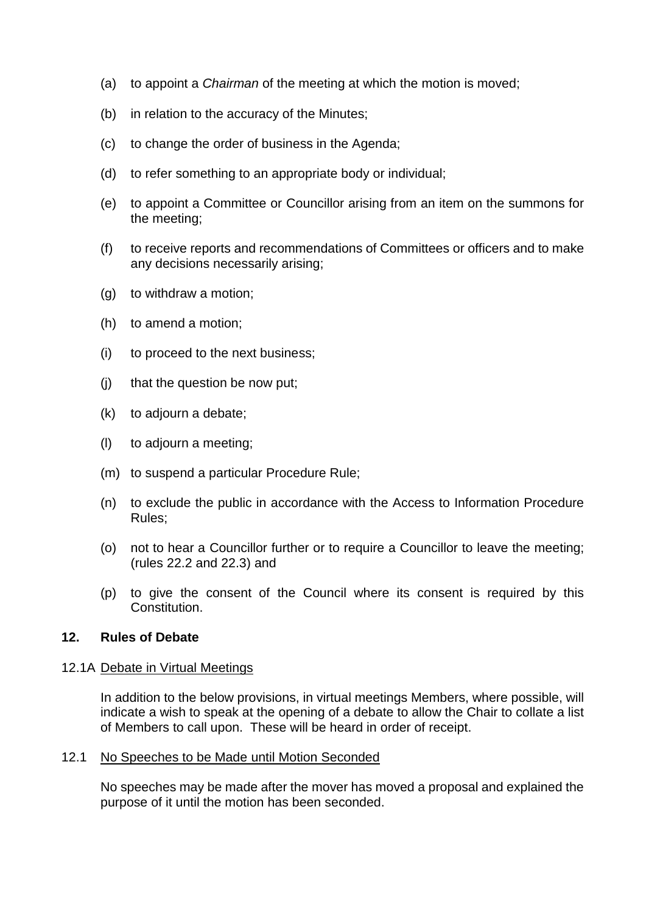- (a) to appoint a *Chairman* of the meeting at which the motion is moved;
- (b) in relation to the accuracy of the Minutes;
- (c) to change the order of business in the Agenda;
- (d) to refer something to an appropriate body or individual;
- (e) to appoint a Committee or Councillor arising from an item on the summons for the meeting;
- (f) to receive reports and recommendations of Committees or officers and to make any decisions necessarily arising;
- (g) to withdraw a motion;
- (h) to amend a motion;
- (i) to proceed to the next business;
- (j) that the question be now put;
- (k) to adjourn a debate;
- (l) to adjourn a meeting;
- (m) to suspend a particular Procedure Rule;
- (n) to exclude the public in accordance with the Access to Information Procedure Rules;
- (o) not to hear a Councillor further or to require a Councillor to leave the meeting; (rules 22.2 and 22.3) and
- (p) to give the consent of the Council where its consent is required by this Constitution.

# **12. Rules of Debate**

#### 12.1A Debate in Virtual Meetings

In addition to the below provisions, in virtual meetings Members, where possible, will indicate a wish to speak at the opening of a debate to allow the Chair to collate a list of Members to call upon. These will be heard in order of receipt.

#### 12.1 No Speeches to be Made until Motion Seconded

No speeches may be made after the mover has moved a proposal and explained the purpose of it until the motion has been seconded.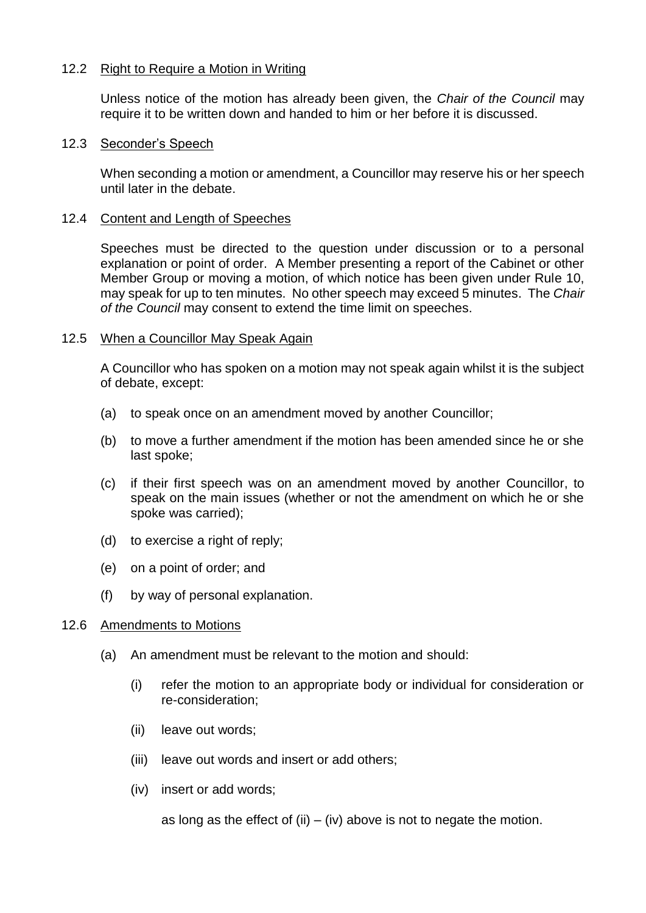# 12.2 Right to Require a Motion in Writing

Unless notice of the motion has already been given, the *Chair of the Council* may require it to be written down and handed to him or her before it is discussed.

# 12.3 Seconder's Speech

When seconding a motion or amendment, a Councillor may reserve his or her speech until later in the debate.

# 12.4 Content and Length of Speeches

Speeches must be directed to the question under discussion or to a personal explanation or point of order. A Member presenting a report of the Cabinet or other Member Group or moving a motion, of which notice has been given under Rule 10, may speak for up to ten minutes. No other speech may exceed 5 minutes. The *Chair of the Council* may consent to extend the time limit on speeches.

# 12.5 When a Councillor May Speak Again

A Councillor who has spoken on a motion may not speak again whilst it is the subject of debate, except:

- (a) to speak once on an amendment moved by another Councillor;
- (b) to move a further amendment if the motion has been amended since he or she last spoke;
- (c) if their first speech was on an amendment moved by another Councillor, to speak on the main issues (whether or not the amendment on which he or she spoke was carried);
- (d) to exercise a right of reply;
- (e) on a point of order; and
- (f) by way of personal explanation.

# 12.6 Amendments to Motions

- (a) An amendment must be relevant to the motion and should:
	- (i) refer the motion to an appropriate body or individual for consideration or re-consideration;
	- (ii) leave out words;
	- (iii) leave out words and insert or add others;
	- (iv) insert or add words;

as long as the effect of (ii)  $-$  (iv) above is not to negate the motion.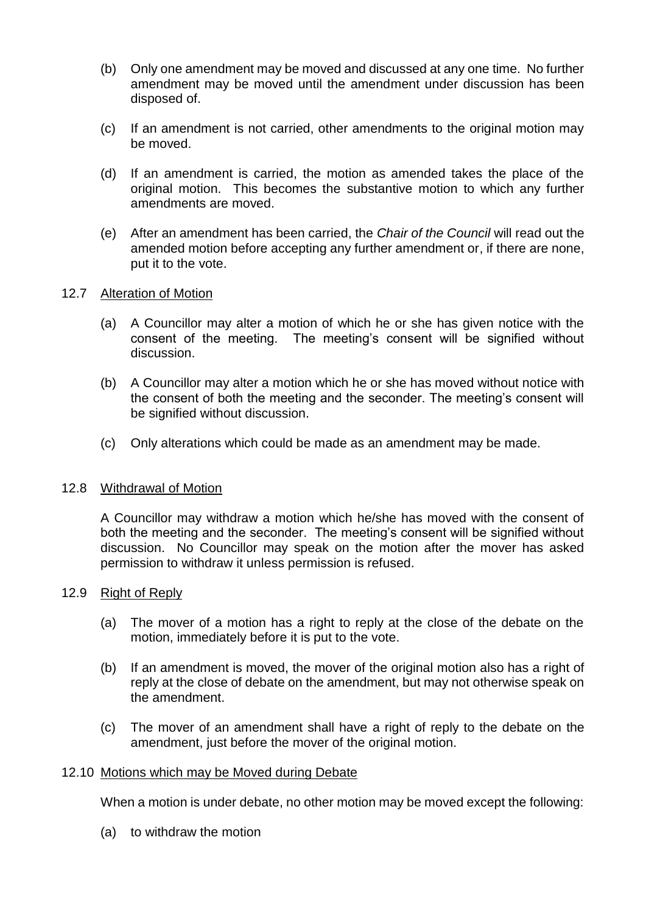- (b) Only one amendment may be moved and discussed at any one time. No further amendment may be moved until the amendment under discussion has been disposed of.
- (c) If an amendment is not carried, other amendments to the original motion may be moved.
- (d) If an amendment is carried, the motion as amended takes the place of the original motion. This becomes the substantive motion to which any further amendments are moved.
- (e) After an amendment has been carried, the *Chair of the Council* will read out the amended motion before accepting any further amendment or, if there are none, put it to the vote.

# 12.7 Alteration of Motion

- (a) A Councillor may alter a motion of which he or she has given notice with the consent of the meeting. The meeting's consent will be signified without discussion.
- (b) A Councillor may alter a motion which he or she has moved without notice with the consent of both the meeting and the seconder. The meeting's consent will be signified without discussion.
- (c) Only alterations which could be made as an amendment may be made.

# 12.8 Withdrawal of Motion

A Councillor may withdraw a motion which he/she has moved with the consent of both the meeting and the seconder. The meeting's consent will be signified without discussion. No Councillor may speak on the motion after the mover has asked permission to withdraw it unless permission is refused.

# 12.9 Right of Reply

- (a) The mover of a motion has a right to reply at the close of the debate on the motion, immediately before it is put to the vote.
- (b) If an amendment is moved, the mover of the original motion also has a right of reply at the close of debate on the amendment, but may not otherwise speak on the amendment.
- (c) The mover of an amendment shall have a right of reply to the debate on the amendment, just before the mover of the original motion.

#### 12.10 Motions which may be Moved during Debate

When a motion is under debate, no other motion may be moved except the following:

(a) to withdraw the motion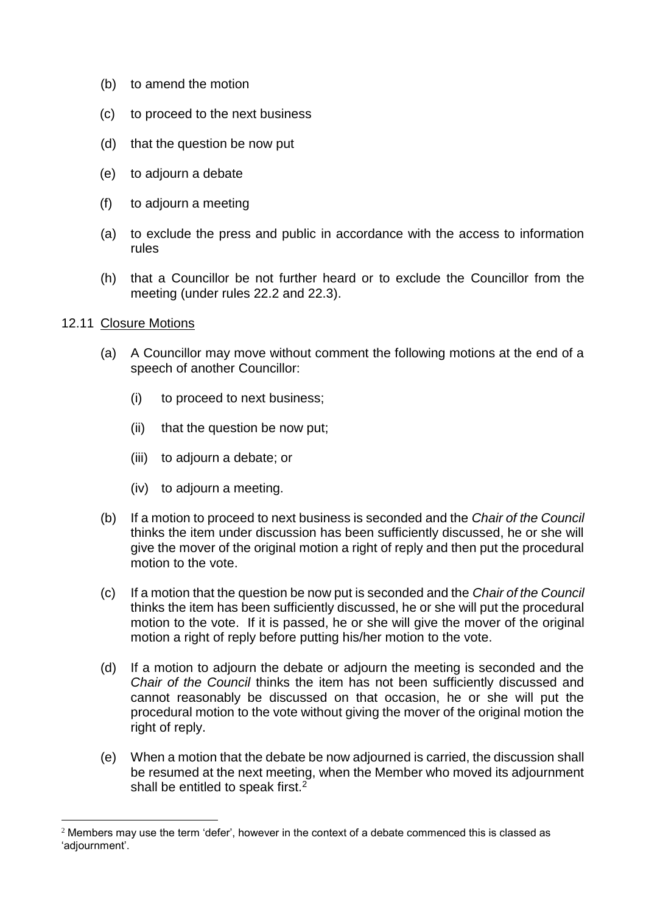- (b) to amend the motion
- (c) to proceed to the next business
- (d) that the question be now put
- (e) to adjourn a debate
- (f) to adjourn a meeting
- (a) to exclude the press and public in accordance with the access to information rules
- (h) that a Councillor be not further heard or to exclude the Councillor from the meeting (under rules 22.2 and 22.3).

# 12.11 Closure Motions

1

- (a) A Councillor may move without comment the following motions at the end of a speech of another Councillor:
	- (i) to proceed to next business;
	- (ii) that the question be now put;
	- (iii) to adjourn a debate; or
	- (iv) to adjourn a meeting.
- (b) If a motion to proceed to next business is seconded and the *Chair of the Council* thinks the item under discussion has been sufficiently discussed, he or she will give the mover of the original motion a right of reply and then put the procedural motion to the vote.
- (c) If a motion that the question be now put is seconded and the *Chair of the Council* thinks the item has been sufficiently discussed, he or she will put the procedural motion to the vote. If it is passed, he or she will give the mover of the original motion a right of reply before putting his/her motion to the vote.
- (d) If a motion to adjourn the debate or adjourn the meeting is seconded and the *Chair of the Council* thinks the item has not been sufficiently discussed and cannot reasonably be discussed on that occasion, he or she will put the procedural motion to the vote without giving the mover of the original motion the right of reply.
- (e) When a motion that the debate be now adjourned is carried, the discussion shall be resumed at the next meeting, when the Member who moved its adjournment shall be entitled to speak first. $2$

 $2$  Members may use the term 'defer', however in the context of a debate commenced this is classed as 'adjournment'.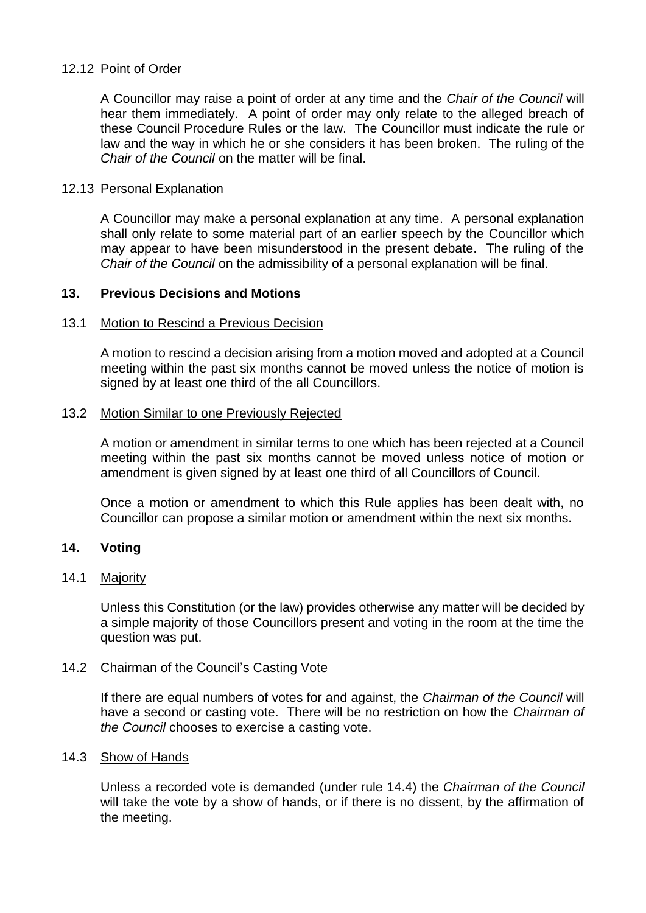# 12.12 Point of Order

A Councillor may raise a point of order at any time and the *Chair of the Council* will hear them immediately. A point of order may only relate to the alleged breach of these Council Procedure Rules or the law. The Councillor must indicate the rule or law and the way in which he or she considers it has been broken. The ruling of the *Chair of the Council* on the matter will be final.

#### 12.13 Personal Explanation

A Councillor may make a personal explanation at any time. A personal explanation shall only relate to some material part of an earlier speech by the Councillor which may appear to have been misunderstood in the present debate. The ruling of the *Chair of the Council* on the admissibility of a personal explanation will be final.

# **13. Previous Decisions and Motions**

#### 13.1 Motion to Rescind a Previous Decision

A motion to rescind a decision arising from a motion moved and adopted at a Council meeting within the past six months cannot be moved unless the notice of motion is signed by at least one third of the all Councillors.

#### 13.2 Motion Similar to one Previously Rejected

A motion or amendment in similar terms to one which has been rejected at a Council meeting within the past six months cannot be moved unless notice of motion or amendment is given signed by at least one third of all Councillors of Council.

Once a motion or amendment to which this Rule applies has been dealt with, no Councillor can propose a similar motion or amendment within the next six months.

# **14. Voting**

# 14.1 Majority

Unless this Constitution (or the law) provides otherwise any matter will be decided by a simple majority of those Councillors present and voting in the room at the time the question was put.

#### 14.2 Chairman of the Council's Casting Vote

If there are equal numbers of votes for and against, the *Chairman of the Council* will have a second or casting vote. There will be no restriction on how the *Chairman of the Council* chooses to exercise a casting vote.

## 14.3 Show of Hands

Unless a recorded vote is demanded (under rule 14.4) the *Chairman of the Council* will take the vote by a show of hands, or if there is no dissent, by the affirmation of the meeting.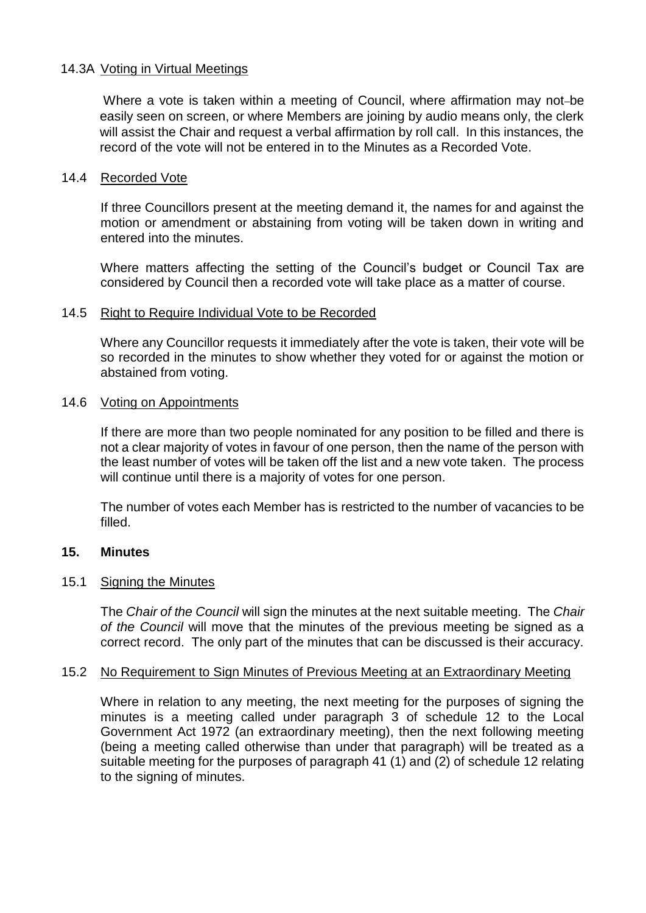# 14.3A Voting in Virtual Meetings

Where a vote is taken within a meeting of Council, where affirmation may not-be easily seen on screen, or where Members are joining by audio means only, the clerk will assist the Chair and request a verbal affirmation by roll call. In this instances, the record of the vote will not be entered in to the Minutes as a Recorded Vote.

#### 14.4 Recorded Vote

If three Councillors present at the meeting demand it, the names for and against the motion or amendment or abstaining from voting will be taken down in writing and entered into the minutes.

Where matters affecting the setting of the Council's budget or Council Tax are considered by Council then a recorded vote will take place as a matter of course.

#### 14.5 Right to Require Individual Vote to be Recorded

Where any Councillor requests it immediately after the vote is taken, their vote will be so recorded in the minutes to show whether they voted for or against the motion or abstained from voting.

#### 14.6 Voting on Appointments

If there are more than two people nominated for any position to be filled and there is not a clear majority of votes in favour of one person, then the name of the person with the least number of votes will be taken off the list and a new vote taken. The process will continue until there is a majority of votes for one person.

The number of votes each Member has is restricted to the number of vacancies to be filled.

# **15. Minutes**

#### 15.1 Signing the Minutes

The *Chair of the Council* will sign the minutes at the next suitable meeting. The *Chair of the Council* will move that the minutes of the previous meeting be signed as a correct record. The only part of the minutes that can be discussed is their accuracy.

#### 15.2 No Requirement to Sign Minutes of Previous Meeting at an Extraordinary Meeting

Where in relation to any meeting, the next meeting for the purposes of signing the minutes is a meeting called under paragraph 3 of schedule 12 to the Local Government Act 1972 (an extraordinary meeting), then the next following meeting (being a meeting called otherwise than under that paragraph) will be treated as a suitable meeting for the purposes of paragraph 41 (1) and (2) of schedule 12 relating to the signing of minutes.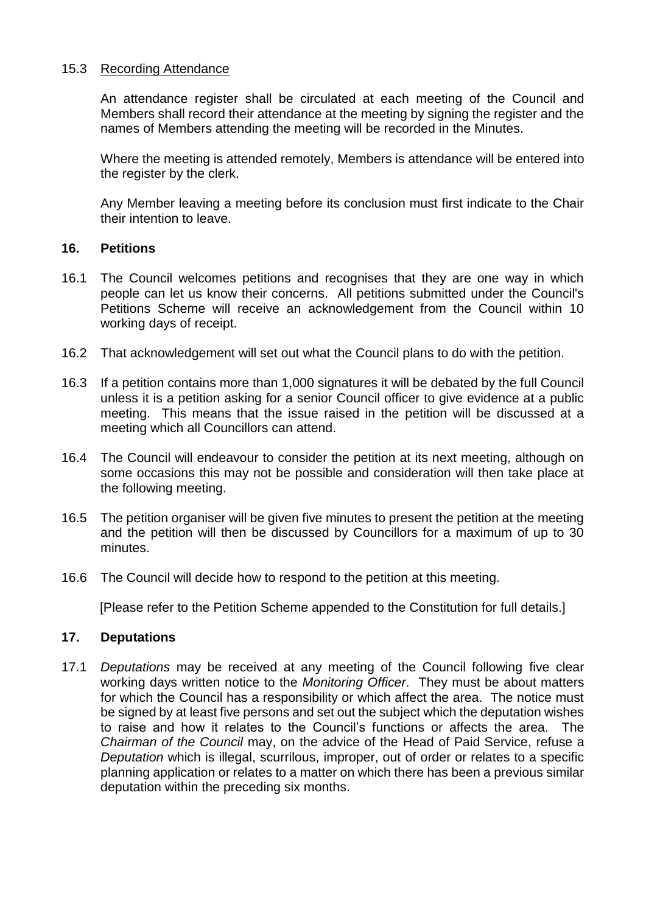# 15.3 Recording Attendance

An attendance register shall be circulated at each meeting of the Council and Members shall record their attendance at the meeting by signing the register and the names of Members attending the meeting will be recorded in the Minutes.

Where the meeting is attended remotely, Members is attendance will be entered into the register by the clerk.

Any Member leaving a meeting before its conclusion must first indicate to the Chair their intention to leave.

# **16. Petitions**

- 16.1 The Council welcomes petitions and recognises that they are one way in which people can let us know their concerns. All petitions submitted under the Council's Petitions Scheme will receive an acknowledgement from the Council within 10 working days of receipt.
- 16.2 That acknowledgement will set out what the Council plans to do with the petition.
- 16.3 If a petition contains more than 1,000 signatures it will be debated by the full Council unless it is a petition asking for a senior Council officer to give evidence at a public meeting. This means that the issue raised in the petition will be discussed at a meeting which all Councillors can attend.
- 16.4 The Council will endeavour to consider the petition at its next meeting, although on some occasions this may not be possible and consideration will then take place at the following meeting.
- 16.5 The petition organiser will be given five minutes to present the petition at the meeting and the petition will then be discussed by Councillors for a maximum of up to 30 minutes.
- 16.6 The Council will decide how to respond to the petition at this meeting.

[Please refer to the Petition Scheme appended to the Constitution for full details.]

# **17. Deputations**

17.1 *Deputations* may be received at any meeting of the Council following five clear working days written notice to the *Monitoring Officer*. They must be about matters for which the Council has a responsibility or which affect the area. The notice must be signed by at least five persons and set out the subject which the deputation wishes to raise and how it relates to the Council's functions or affects the area. The *Chairman of the Council* may, on the advice of the Head of Paid Service, refuse a *Deputation* which is illegal, scurrilous, improper, out of order or relates to a specific planning application or relates to a matter on which there has been a previous similar deputation within the preceding six months.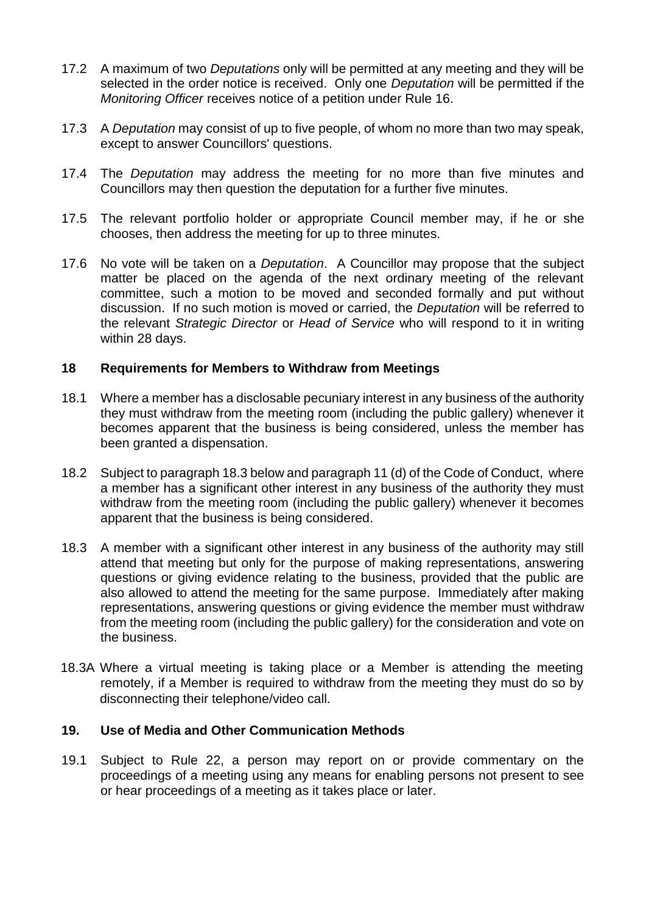- 17.2 A maximum of two *Deputations* only will be permitted at any meeting and they will be selected in the order notice is received. Only one *Deputation* will be permitted if the *Monitoring Officer* receives notice of a petition under Rule 16.
- 17.3 A *Deputation* may consist of up to five people, of whom no more than two may speak, except to answer Councillors' questions.
- 17.4 The *Deputation* may address the meeting for no more than five minutes and Councillors may then question the deputation for a further five minutes.
- 17.5 The relevant portfolio holder or appropriate Council member may, if he or she chooses, then address the meeting for up to three minutes.
- 17.6 No vote will be taken on a *Deputation*. A Councillor may propose that the subject matter be placed on the agenda of the next ordinary meeting of the relevant committee, such a motion to be moved and seconded formally and put without discussion. If no such motion is moved or carried, the *Deputation* will be referred to the relevant *Strategic Director* or *Head of Service* who will respond to it in writing within 28 days.

# **18 Requirements for Members to Withdraw from Meetings**

- 18.1 Where a member has a disclosable pecuniary interest in any business of the authority they must withdraw from the meeting room (including the public gallery) whenever it becomes apparent that the business is being considered, unless the member has been granted a dispensation.
- 18.2 Subject to paragraph 18.3 below and paragraph 11 (d) of the Code of Conduct, where a member has a significant other interest in any business of the authority they must withdraw from the meeting room (including the public gallery) whenever it becomes apparent that the business is being considered.
- 18.3 A member with a significant other interest in any business of the authority may still attend that meeting but only for the purpose of making representations, answering questions or giving evidence relating to the business, provided that the public are also allowed to attend the meeting for the same purpose. Immediately after making representations, answering questions or giving evidence the member must withdraw from the meeting room (including the public gallery) for the consideration and vote on the business.
- 18.3A Where a virtual meeting is taking place or a Member is attending the meeting remotely, if a Member is required to withdraw from the meeting they must do so by disconnecting their telephone/video call.

# **19. Use of Media and Other Communication Methods**

19.1 Subject to Rule 22, a person may report on or provide commentary on the proceedings of a meeting using any means for enabling persons not present to see or hear proceedings of a meeting as it takes place or later.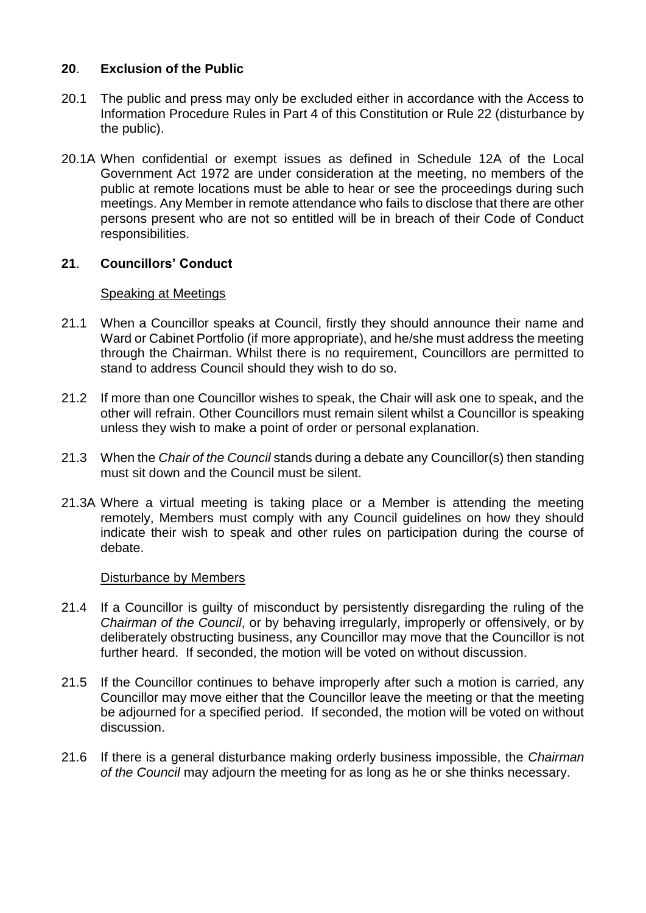# **20**. **Exclusion of the Public**

- 20.1 The public and press may only be excluded either in accordance with the Access to Information Procedure Rules in Part 4 of this Constitution or Rule 22 (disturbance by the public).
- 20.1A When confidential or exempt issues as defined in Schedule 12A of the Local Government Act 1972 are under consideration at the meeting, no members of the public at remote locations must be able to hear or see the proceedings during such meetings. Any Member in remote attendance who fails to disclose that there are other persons present who are not so entitled will be in breach of their Code of Conduct responsibilities.

# **21**. **Councillors' Conduct**

# Speaking at Meetings

- 21.1 When a Councillor speaks at Council, firstly they should announce their name and Ward or Cabinet Portfolio (if more appropriate), and he/she must address the meeting through the Chairman. Whilst there is no requirement, Councillors are permitted to stand to address Council should they wish to do so.
- 21.2 If more than one Councillor wishes to speak, the Chair will ask one to speak, and the other will refrain. Other Councillors must remain silent whilst a Councillor is speaking unless they wish to make a point of order or personal explanation.
- 21.3 When the *Chair of the Council* stands during a debate any Councillor(s) then standing must sit down and the Council must be silent.
- 21.3A Where a virtual meeting is taking place or a Member is attending the meeting remotely, Members must comply with any Council guidelines on how they should indicate their wish to speak and other rules on participation during the course of debate.

#### Disturbance by Members

- 21.4 If a Councillor is guilty of misconduct by persistently disregarding the ruling of the *Chairman of the Council*, or by behaving irregularly, improperly or offensively, or by deliberately obstructing business, any Councillor may move that the Councillor is not further heard. If seconded, the motion will be voted on without discussion.
- 21.5 If the Councillor continues to behave improperly after such a motion is carried, any Councillor may move either that the Councillor leave the meeting or that the meeting be adjourned for a specified period. If seconded, the motion will be voted on without discussion.
- 21.6 If there is a general disturbance making orderly business impossible, the *Chairman of the Council* may adjourn the meeting for as long as he or she thinks necessary.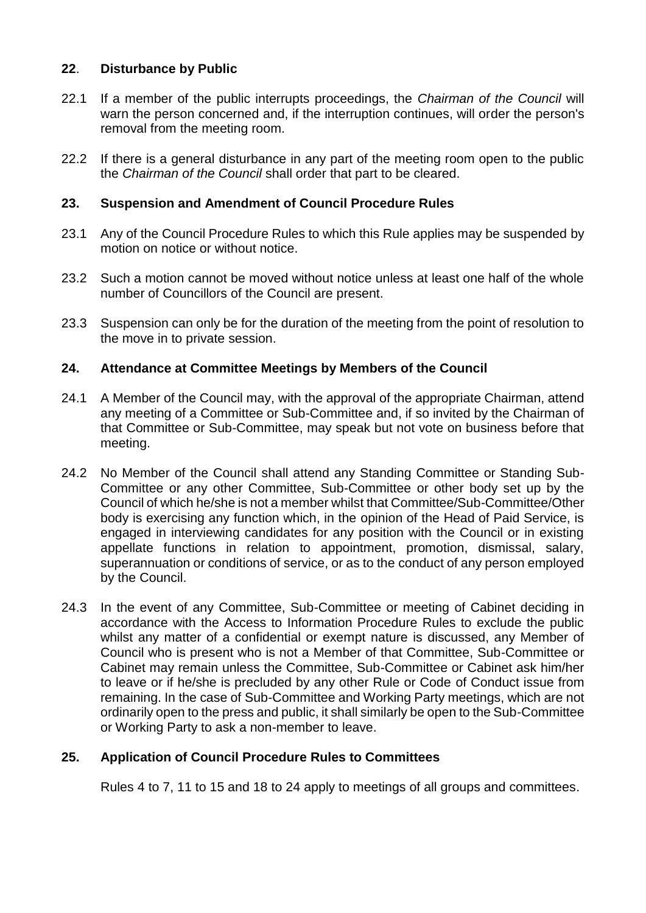# **22**. **Disturbance by Public**

- 22.1 If a member of the public interrupts proceedings, the *Chairman of the Council* will warn the person concerned and, if the interruption continues, will order the person's removal from the meeting room.
- 22.2 If there is a general disturbance in any part of the meeting room open to the public the *Chairman of the Council* shall order that part to be cleared.

# **23. Suspension and Amendment of Council Procedure Rules**

- 23.1 Any of the Council Procedure Rules to which this Rule applies may be suspended by motion on notice or without notice.
- 23.2 Such a motion cannot be moved without notice unless at least one half of the whole number of Councillors of the Council are present.
- 23.3 Suspension can only be for the duration of the meeting from the point of resolution to the move in to private session.

# **24. Attendance at Committee Meetings by Members of the Council**

- 24.1 A Member of the Council may, with the approval of the appropriate Chairman, attend any meeting of a Committee or Sub-Committee and, if so invited by the Chairman of that Committee or Sub-Committee, may speak but not vote on business before that meeting.
- 24.2 No Member of the Council shall attend any Standing Committee or Standing Sub-Committee or any other Committee, Sub-Committee or other body set up by the Council of which he/she is not a member whilst that Committee/Sub-Committee/Other body is exercising any function which, in the opinion of the Head of Paid Service, is engaged in interviewing candidates for any position with the Council or in existing appellate functions in relation to appointment, promotion, dismissal, salary, superannuation or conditions of service, or as to the conduct of any person employed by the Council.
- 24.3 In the event of any Committee, Sub-Committee or meeting of Cabinet deciding in accordance with the Access to Information Procedure Rules to exclude the public whilst any matter of a confidential or exempt nature is discussed, any Member of Council who is present who is not a Member of that Committee, Sub-Committee or Cabinet may remain unless the Committee, Sub-Committee or Cabinet ask him/her to leave or if he/she is precluded by any other Rule or Code of Conduct issue from remaining. In the case of Sub-Committee and Working Party meetings, which are not ordinarily open to the press and public, it shall similarly be open to the Sub-Committee or Working Party to ask a non-member to leave.

# **25. Application of Council Procedure Rules to Committees**

Rules 4 to 7, 11 to 15 and 18 to 24 apply to meetings of all groups and committees.